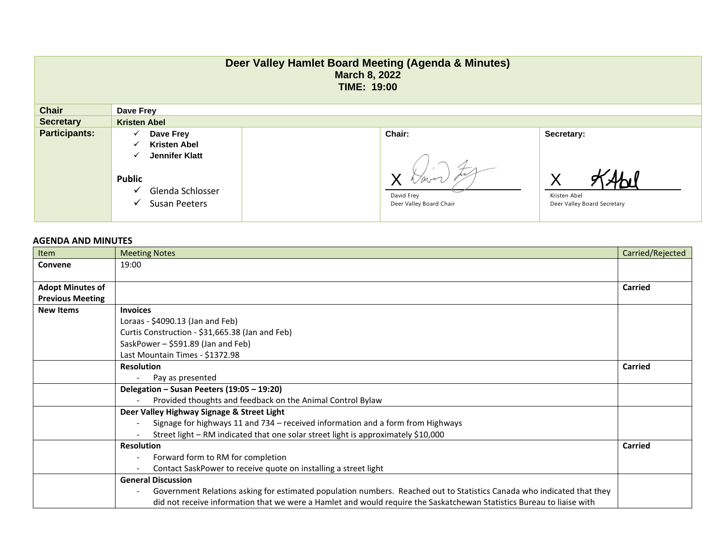| Deer Valley Hamlet Board Meeting (Agenda & Minutes)<br><b>March 8, 2022</b><br><b>TIME: 19:00</b> |                                                                                                                                          |                                                        |                                                                |  |  |
|---------------------------------------------------------------------------------------------------|------------------------------------------------------------------------------------------------------------------------------------------|--------------------------------------------------------|----------------------------------------------------------------|--|--|
| <b>Chair</b>                                                                                      | Dave Frey                                                                                                                                |                                                        |                                                                |  |  |
| <b>Secretary</b>                                                                                  | <b>Kristen Abel</b>                                                                                                                      |                                                        |                                                                |  |  |
| <b>Participants:</b>                                                                              | Dave Frey<br>✓<br><b>Kristen Abel</b><br>✓<br>Jennifer Klatt<br>✓<br><b>Public</b><br>Glenda Schlosser<br>v<br><b>Susan Peeters</b><br>✓ | <b>Chair:</b><br>David Frey<br>Deer Valley Board Chair | Secretary:<br>Х<br>Kristen Abel<br>Deer Valley Board Secretary |  |  |

## **AGENDA AND MINUTES**

| Item                    | <b>Meeting Notes</b>                                                                                                   | Carried/Rejected |
|-------------------------|------------------------------------------------------------------------------------------------------------------------|------------------|
| Convene                 | 19:00                                                                                                                  |                  |
|                         |                                                                                                                        |                  |
| <b>Adopt Minutes of</b> |                                                                                                                        | <b>Carried</b>   |
| <b>Previous Meeting</b> |                                                                                                                        |                  |
| <b>New Items</b>        | <b>Invoices</b>                                                                                                        |                  |
|                         | Loraas - \$4090.13 (Jan and Feb)                                                                                       |                  |
|                         | Curtis Construction - \$31,665.38 (Jan and Feb)                                                                        |                  |
|                         | SaskPower - \$591.89 (Jan and Feb)                                                                                     |                  |
|                         | Last Mountain Times - \$1372.98                                                                                        |                  |
|                         | <b>Resolution</b>                                                                                                      | Carried          |
|                         | Pay as presented                                                                                                       |                  |
|                         | Delegation – Susan Peeters (19:05 – 19:20)                                                                             |                  |
|                         | Provided thoughts and feedback on the Animal Control Bylaw                                                             |                  |
|                         | Deer Valley Highway Signage & Street Light                                                                             |                  |
|                         | Signage for highways 11 and 734 - received information and a form from Highways                                        |                  |
|                         | Street light – RM indicated that one solar street light is approximately \$10,000                                      |                  |
|                         | <b>Resolution</b>                                                                                                      |                  |
|                         | Forward form to RM for completion                                                                                      |                  |
|                         | Contact SaskPower to receive quote on installing a street light                                                        |                  |
|                         | <b>General Discussion</b>                                                                                              |                  |
|                         | Government Relations asking for estimated population numbers. Reached out to Statistics Canada who indicated that they |                  |
|                         | did not receive information that we were a Hamlet and would require the Saskatchewan Statistics Bureau to liaise with  |                  |